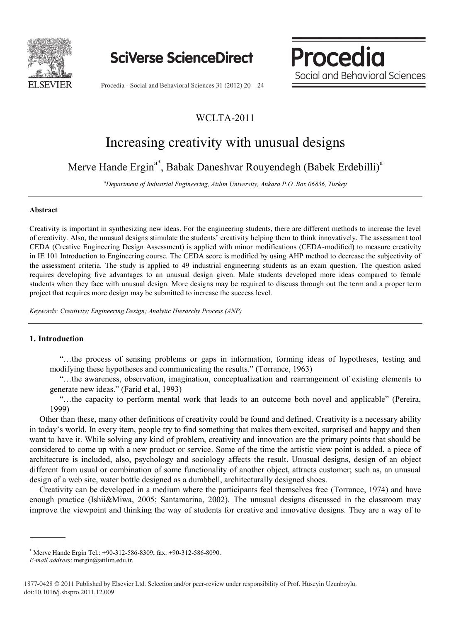

**SciVerse ScienceDirect** 

**Social and Behavioral Social and Behavioral Sciences** 

**Procedia** 

www.elsevier.com/locate/procediate/procediate/procediate/procediate/procediate/

Procedia - Social and Behavioral Sciences 31 (2012) 20 – 24

### WCLTA-2011

# Increasing creativity with unusual designs

## Merve Hande Ergin<sup>a\*</sup>, Babak Daneshvar Rouyendegh (Babek Erdebilli)<sup>a</sup>

*a Department of Industrial Engineering, Atılım University, Ankara P.O .Box 06836, Turkey*

#### **Abstract**

Creativity is important in synthesizing new ideas. For the engineering students, there are different methods to increase the level of creativity. Also, the unusual designs stimulate the students' creativity helping them to think innovatively. The assessment tool CEDA (Creative Engineering Design Assessment) is applied with minor modifications (CEDA-modified) to measure creativity in IE 101 Introduction to Engineering course. The CEDA score is modified by using AHP method to decrease the subjectivity of the assessment criteria. The study is applied to 49 industrial engineering students as an exam question. The question asked requires developing five advantages to an unusual design given. Male students developed more ideas compared to female students when they face with unusual design. More designs may be required to discuss through out the term and a proper term project that requires more design may be submitted to increase the success level.

*Keywords: Creativity; Engineering Design; Analytic Hierarchy Process (ANP)*

### **1. Introduction**

"…the process of sensing problems or gaps in information, forming ideas of hypotheses, testing and modifying these hypotheses and communicating the results." (Torrance, 1963)

"…the awareness, observation, imagination, conceptualization and rearrangement of existing elements to generate new ideas." (Farid et al, 1993)

"…the capacity to perform mental work that leads to an outcome both novel and applicable" (Pereira, 1999)

Other than these, many other definitions of creativity could be found and defined. Creativity is a necessary ability in today's world. In every item, people try to find something that makes them excited, surprised and happy and then want to have it. While solving any kind of problem, creativity and innovation are the primary points that should be considered to come up with a new product or service. Some of the time the artistic view point is added, a piece of architecture is included, also, psychology and sociology affects the result. Unusual designs, design of an object different from usual or combination of some functionality of another object, attracts customer; such as, an unusual design of a web site, water bottle designed as a dumbbell, architecturally designed shoes.

Creativity can be developed in a medium where the participants feel themselves free (Torrance, 1974) and have enough practice (Ishii&Miwa, 2005; Santamarina, 2002). The unusual designs discussed in the classroom may improve the viewpoint and thinking the way of students for creative and innovative designs. They are a way of to

<sup>\*</sup> Merve Hande Ergin Tel.: +90-312-586-8309; fax: +90-312-586-8090.

*E-mail address*: mergin@atilim.edu.tr.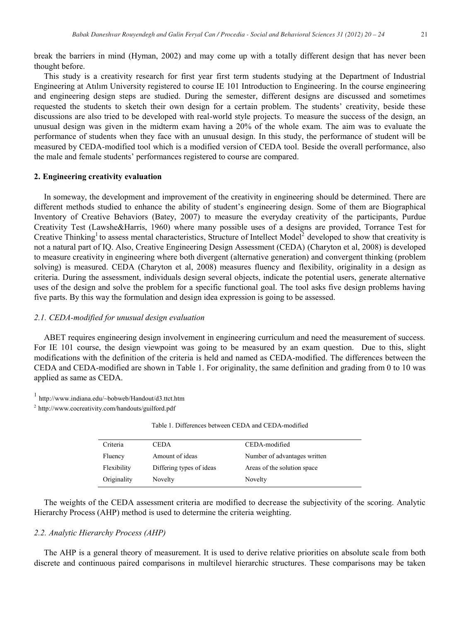break the barriers in mind (Hyman, 2002) and may come up with a totally different design that has never been thought before.

This study is a creativity research for first year first term students studying at the Department of Industrial Engineering at Atılım University registered to course IE 101 Introduction to Engineering. In the course engineering and engineering design steps are studied. During the semester, different designs are discussed and sometimes requested the students to sketch their own design for a certain problem. The students' creativity, beside these discussions are also tried to be developed with real-world style projects. To measure the success of the design, an unusual design was given in the midterm exam having a 20% of the whole exam. The aim was to evaluate the performance of students when they face with an unusual design. In this study, the performance of student will be measured by CEDA-modified tool which is a modified version of CEDA tool. Beside the overall performance, also the male and female students' performances registered to course are compared.

#### **2. Engineering creativity evaluation**

In someway, the development and improvement of the creativity in engineering should be determined. There are different methods studied to enhance the ability of student's engineering design. Some of them are Biographical Inventory of Creative Behaviors (Batey, 2007) to measure the everyday creativity of the participants, Purdue Creativity Test (Lawshe&Harris, 1960) where many possible uses of a designs are provided, Torrance Test for Creative Thinking<sup>1</sup> to assess mental characteristics, Structure of Intellect Model<sup>2</sup> developed to show that creativity is not a natural part of IQ. Also, Creative Engineering Design Assessment (CEDA) (Charyton et al, 2008) is developed to measure creativity in engineering where both divergent (alternative generation) and convergent thinking (problem solving) is measured. CEDA (Charyton et al, 2008) measures fluency and flexibility, originality in a design as criteria. During the assessment, individuals design several objects, indicate the potential users, generate alternative uses of the design and solve the problem for a specific functional goal. The tool asks five design problems having five parts. By this way the formulation and design idea expression is going to be assessed.

#### *2.1. CEDA-modified for unusual design evaluation*

ABET requires engineering design involvement in engineering curriculum and need the measurement of success. For IE 101 course, the design viewpoint was going to be measured by an exam question. Due to this, slight modifications with the definition of the criteria is held and named as CEDA-modified. The differences between the CEDA and CEDA-modified are shown in Table 1. For originality, the same definition and grading from 0 to 10 was applied as same as CEDA.

<sup>1</sup> http://www.indiana.edu/~bobweb/Handout/d3.ttct.htm

<sup>2</sup> http://www.cocreativity.com/handouts/guilford.pdf

| Criteria    | CEDA                     | CEDA-modified                |
|-------------|--------------------------|------------------------------|
| Fluency     | Amount of ideas          | Number of advantages written |
| Flexibility | Differing types of ideas | Areas of the solution space  |
| Originality | Novelty                  | Novelty                      |

Table 1. Differences between CEDA and CEDA-modified

The weights of the CEDA assessment criteria are modified to decrease the subjectivity of the scoring. Analytic Hierarchy Process (AHP) method is used to determine the criteria weighting.

#### *2.2. Analytic Hierarchy Process (AHP)*

The AHP is a general theory of measurement. It is used to derive relative priorities on absolute scale from both discrete and continuous paired comparisons in multilevel hierarchic structures. These comparisons may be taken